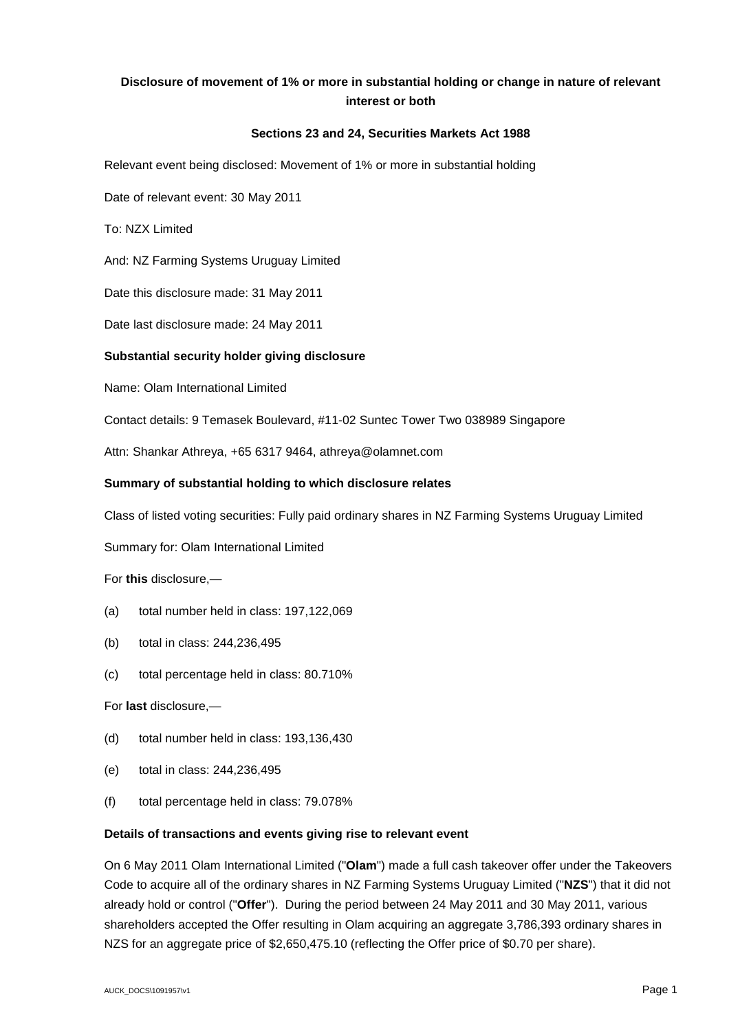# **Disclosure of movement of 1% or more in substantial holding or change in nature of relevant interest or both**

## **Sections 23 and 24, Securities Markets Act 1988**

Relevant event being disclosed: Movement of 1% or more in substantial holding

Date of relevant event: 30 May 2011

To: NZX Limited

And: NZ Farming Systems Uruguay Limited

Date this disclosure made: 31 May 2011

Date last disclosure made: 24 May 2011

## **Substantial security holder giving disclosure**

Name: Olam International Limited

Contact details: 9 Temasek Boulevard, #11-02 Suntec Tower Two 038989 Singapore

Attn: Shankar Athreya, +65 6317 9464, athreya@olamnet.com

## **Summary of substantial holding to which disclosure relates**

Class of listed voting securities: Fully paid ordinary shares in NZ Farming Systems Uruguay Limited

Summary for: Olam International Limited

For **this** disclosure,—

- (a) total number held in class: 197,122,069
- (b) total in class: 244,236,495
- (c) total percentage held in class: 80.710%

For **last** disclosure,—

- (d) total number held in class: 193,136,430
- (e) total in class: 244,236,495
- (f) total percentage held in class: 79.078%

#### **Details of transactions and events giving rise to relevant event**

On 6 May 2011 Olam International Limited ("**Olam**") made a full cash takeover offer under the Takeovers Code to acquire all of the ordinary shares in NZ Farming Systems Uruguay Limited ("**NZS**") that it did not already hold or control ("**Offer**"). During the period between 24 May 2011 and 30 May 2011, various shareholders accepted the Offer resulting in Olam acquiring an aggregate 3,786,393 ordinary shares in NZS for an aggregate price of \$2,650,475.10 (reflecting the Offer price of \$0.70 per share).